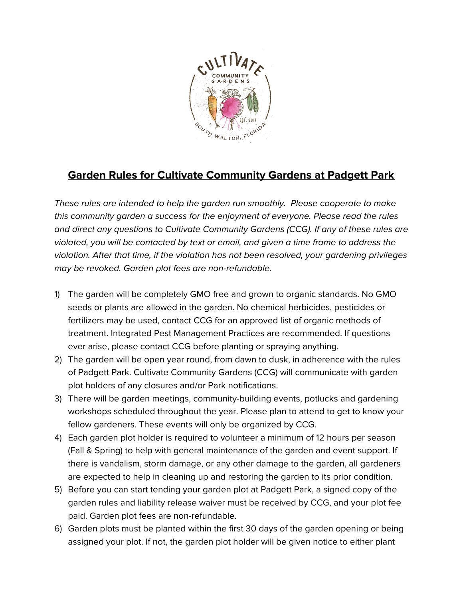

## **Garden Rules for Cultivate Community Gardens at Padgett Park**

These rules are intended to help the garden run smoothly. Please cooperate to make this community garden a success for the enjoyment of everyone. Please read the rules and direct any questions to Cultivate Community Gardens (CCG). If any of these rules are violated, you will be contacted by text or email, and given a time frame to address the violation. After that time, if the violation has not been resolved, your gardening privileges may be revoked. Garden plot fees are non-refundable.

- 1) The garden will be completely GMO free and grown to organic standards. No GMO seeds or plants are allowed in the garden. No chemical herbicides, pesticides or fertilizers may be used, contact CCG for an approved list of organic methods of treatment. Integrated Pest Management Practices are recommended. If questions ever arise, please contact CCG before planting or spraying anything.
- 2) The garden will be open year round, from dawn to dusk, in adherence with the rules of Padgett Park. Cultivate Community Gardens (CCG) will communicate with garden plot holders of any closures and/or Park notifications.
- 3) There will be garden meetings, community-building events, potlucks and gardening workshops scheduled throughout the year. Please plan to attend to get to know your fellow gardeners. These events will only be organized by CCG.
- 4) Each garden plot holder is required to volunteer a minimum of 12 hours per season (Fall & Spring) to help with general maintenance of the garden and event support. If there is vandalism, storm damage, or any other damage to the garden, all gardeners are expected to help in cleaning up and restoring the garden to its prior condition.
- 5) Before you can start tending your garden plot at Padgett Park, a signed copy of the garden rules and liability release waiver must be received by CCG, and your plot fee paid. Garden plot fees are non-refundable.
- 6) Garden plots must be planted within the first 30 days of the garden opening or being assigned your plot. If not, the garden plot holder will be given notice to either plant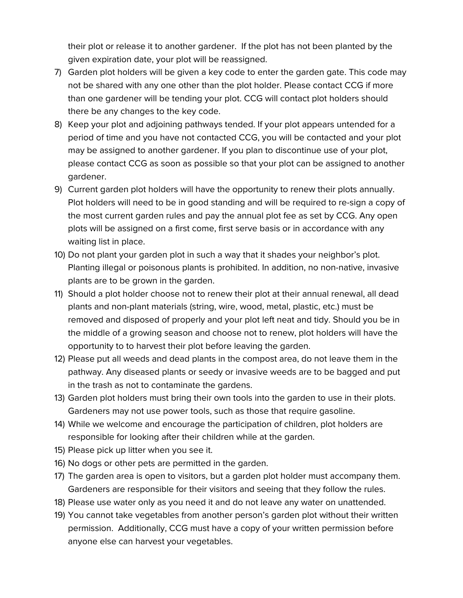their plot or release it to another gardener. If the plot has not been planted by the given expiration date, your plot will be reassigned.

- 7) Garden plot holders will be given a key code to enter the garden gate. This code may not be shared with any one other than the plot holder. Please contact CCG if more than one gardener will be tending your plot. CCG will contact plot holders should there be any changes to the key code.
- 8) Keep your plot and adjoining pathways tended. If your plot appears untended for a period of time and you have not contacted CCG, you will be contacted and your plot may be assigned to another gardener. If you plan to discontinue use of your plot, please contact CCG as soon as possible so that your plot can be assigned to another gardener.
- 9) Current garden plot holders will have the opportunity to renew their plots annually. Plot holders will need to be in good standing and will be required to re-sign a copy of the most current garden rules and pay the annual plot fee as set by CCG. Any open plots will be assigned on a first come, first serve basis or in accordance with any waiting list in place.
- 10) Do not plant your garden plot in such a way that it shades your neighbor's plot. Planting illegal or poisonous plants is prohibited. In addition, no non-native, invasive plants are to be grown in the garden.
- 11) Should a plot holder choose not to renew their plot at their annual renewal, all dead plants and non-plant materials (string, wire, wood, metal, plastic, etc.) must be removed and disposed of properly and your plot left neat and tidy. Should you be in the middle of a growing season and choose not to renew, plot holders will have the opportunity to to harvest their plot before leaving the garden.
- 12) Please put all weeds and dead plants in the compost area, do not leave them in the pathway. Any diseased plants or seedy or invasive weeds are to be bagged and put in the trash as not to contaminate the gardens.
- 13) Garden plot holders must bring their own tools into the garden to use in their plots. Gardeners may not use power tools, such as those that require gasoline.
- 14) While we welcome and encourage the participation of children, plot holders are responsible for looking after their children while at the garden.
- 15) Please pick up litter when you see it.
- 16) No dogs or other pets are permitted in the garden.
- 17) The garden area is open to visitors, but a garden plot holder must accompany them. Gardeners are responsible for their visitors and seeing that they follow the rules.
- 18) Please use water only as you need it and do not leave any water on unattended.
- 19) You cannot take vegetables from another person's garden plot without their written permission. Additionally, CCG must have a copy of your written permission before anyone else can harvest your vegetables.